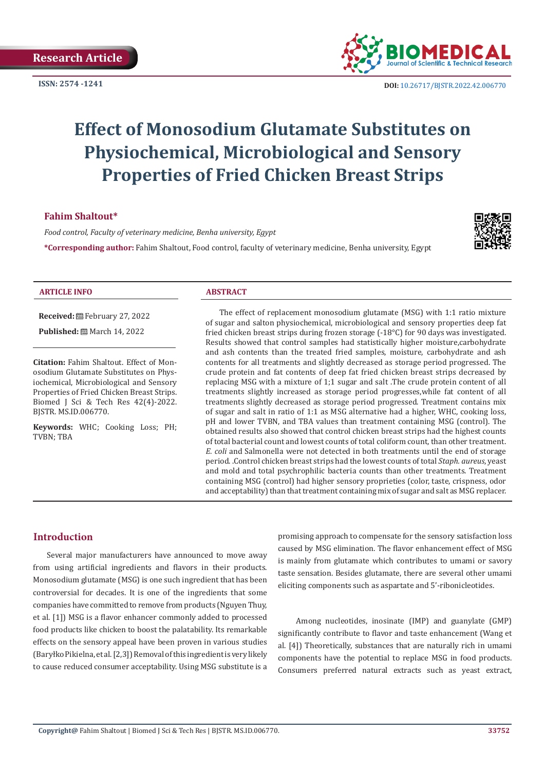

# **Effect of Monosodium Glutamate Substitutes on Physiochemical, Microbiological and Sensory Properties of Fried Chicken Breast Strips**

# **Fahim Shaltout\***

*Food control, Faculty of veterinary medicine, Benha university, Egypt*

**\*Corresponding author:** Fahim Shaltout, Food control, faculty of veterinary medicine, Benha university, Egypt



#### **ARTICLE INFO ABSTRACT**

**Received:** February 27, 2022

**Published:** ■ March 14, 2022

**Citation:** Fahim Shaltout. Effect of Monosodium Glutamate Substitutes on Physiochemical, Microbiological and Sensory Properties of Fried Chicken Breast Strips. Biomed J Sci & Tech Res 42(4)-2022. BJSTR. MS.ID.006770.

**Keywords:** WHC; Cooking Loss; PH; TVBN; TBA

The effect of replacement monosodium glutamate (MSG) with 1:1 ratio mixture of sugar and salton physiochemical, microbiological and sensory properties deep fat fried chicken breast strips during frozen storage (-18°C) for 90 days was investigated. Results showed that control samples had statistically higher moisture,carbohydrate and ash contents than the treated fried samples, moisture, carbohydrate and ash contents for all treatments and slightly decreased as storage period progressed. The crude protein and fat contents of deep fat fried chicken breast strips decreased by replacing MSG with a mixture of 1;1 sugar and salt .The crude protein content of all treatments slightly increased as storage period progresses,while fat content of all treatments slightly decreased as storage period progressed. Treatment contains mix of sugar and salt in ratio of 1:1 as MSG alternative had a higher, WHC, cooking loss, pH and lower TVBN, and TBA values than treatment containing MSG (control). The obtained results also showed that control chicken breast strips had the highest counts of total bacterial count and lowest counts of total coliform count, than other treatment. *E. coli* and Salmonella were not detected in both treatments until the end of storage period. .Control chicken breast strips had the lowest counts of total *Staph. aureus*, yeast and mold and total psychrophilic bacteria counts than other treatments. Treatment containing MSG (control) had higher sensory proprieties (color, taste, crispness, odor and acceptability) than that treatment containing mix of sugar and salt as MSG replacer.

### **Introduction**

Several major manufacturers have announced to move away from using artificial ingredients and flavors in their products. Monosodium glutamate (MSG) is one such ingredient that has been controversial for decades. It is one of the ingredients that some companies have committed to remove from products (Nguyen Thuy, et al. [1]) MSG is a flavor enhancer commonly added to processed food products like chicken to boost the palatability. Its remarkable effects on the sensory appeal have been proven in various studies (Baryłko Pikielna, et al. [2,3]) Removal of this ingredient is very likely to cause reduced consumer acceptability. Using MSG substitute is a

promising approach to compensate for the sensory satisfaction loss caused by MSG elimination. The flavor enhancement effect of MSG is mainly from glutamate which contributes to umami or savory taste sensation. Besides glutamate, there are several other umami eliciting components such as aspartate and 5'-ribonicleotides.

 Among nucleotides, inosinate (IMP) and guanylate (GMP) significantly contribute to flavor and taste enhancement (Wang et al. [4]) Theoretically, substances that are naturally rich in umami components have the potential to replace MSG in food products. Consumers preferred natural extracts such as yeast extract,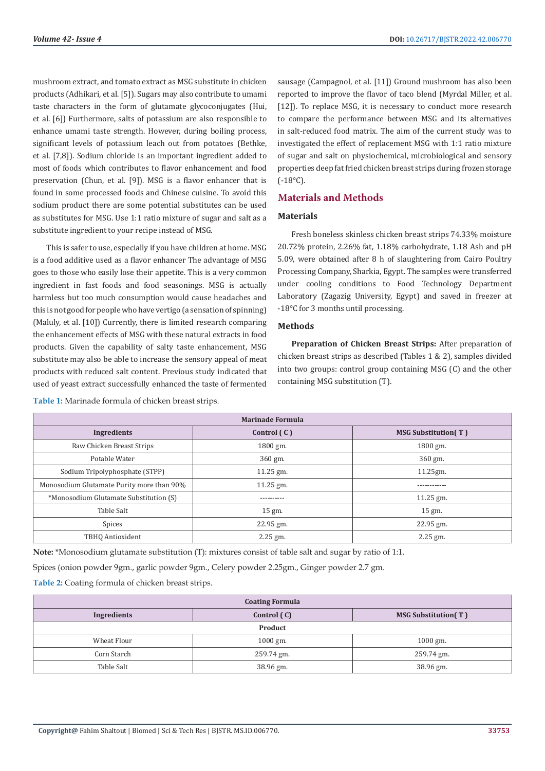mushroom extract, and tomato extract as MSG substitute in chicken products (Adhikari, et al. [5]). Sugars may also contribute to umami taste characters in the form of glutamate glycoconjugates (Hui, et al. [6]) Furthermore, salts of potassium are also responsible to enhance umami taste strength. However, during boiling process, significant levels of potassium leach out from potatoes (Bethke, et al. [7,8]). Sodium chloride is an important ingredient added to most of foods which contributes to flavor enhancement and food preservation (Chun, et al. [9]). MSG is a flavor enhancer that is found in some processed foods and Chinese cuisine. To avoid this sodium product there are some potential substitutes can be used as substitutes for MSG. Use 1:1 ratio mixture of sugar and salt as a substitute ingredient to your recipe instead of MSG.

This is safer to use, especially if you have children at home. MSG is a food additive used as a flavor enhancer The advantage of MSG goes to those who easily lose their appetite. This is a very common ingredient in fast foods and food seasonings. MSG is actually harmless but too much consumption would cause headaches and this is not good for people who have vertigo (a sensation of spinning) (Maluly, et al. [10]) Currently, there is limited research comparing the enhancement effects of MSG with these natural extracts in food products. Given the capability of salty taste enhancement, MSG substitute may also be able to increase the sensory appeal of meat products with reduced salt content. Previous study indicated that used of yeast extract successfully enhanced the taste of fermented

sausage (Campagnol, et al. [11]) Ground mushroom has also been reported to improve the flavor of taco blend (Myrdal Miller, et al. [12]). To replace MSG, it is necessary to conduct more research to compare the performance between MSG and its alternatives in salt-reduced food matrix. The aim of the current study was to investigated the effect of replacement MSG with 1:1 ratio mixture of sugar and salt on physiochemical, microbiological and sensory properties deep fat fried chicken breast strips during frozen storage (-18°C).

# **Materials and Methods**

#### **Materials**

Fresh boneless skinless chicken breast strips 74.33% moisture 20.72% protein, 2.26% fat, 1.18% carbohydrate, 1.18 Ash and pH 5.09, were obtained after 8 h of slaughtering from Cairo Poultry Processing Company, Sharkia, Egypt. The samples were transferred under cooling conditions to Food Technology Department Laboratory (Zagazig University, Egypt) and saved in freezer at -18°C for 3 months until processing.

#### **Methods**

**Preparation of Chicken Breast Strips:** After preparation of chicken breast strips as described (Tables 1 & 2), samples divided into two groups: control group containing MSG (C) and the other containing MSG substitution (T).

| <b>Marinade Formula</b>                   |               |                            |  |  |
|-------------------------------------------|---------------|----------------------------|--|--|
| Ingredients                               | Control $(C)$ | <b>MSG Substitution(T)</b> |  |  |
| Raw Chicken Breast Strips                 | 1800 gm.      | 1800 gm.                   |  |  |
| Potable Water                             | 360 gm.       | 360 gm.                    |  |  |
| Sodium Tripolyphosphate (STPP)            | $11.25$ gm.   | 11.25gm.                   |  |  |
| Monosodium Glutamate Purity more than 90% | $11.25$ gm.   | -----------                |  |  |
| *Monosodium Glutamate Substitution (S)    | ----------    | 11.25 gm.                  |  |  |
| Table Salt                                | 15 gm.        | 15 gm.                     |  |  |
| Spices                                    | 22.95 gm.     | 22.95 gm.                  |  |  |
| TBHO Antioxident                          | $2.25$ gm.    | $2.25$ gm.                 |  |  |

**Table 1:** Marinade formula of chicken breast strips.

**Note:** \*Monosodium glutamate substitution (T): mixtures consist of table salt and sugar by ratio of 1:1.

Spices (onion powder 9gm., garlic powder 9gm., Celery powder 2.25gm., Ginger powder 2.7 gm.

**Table 2:** Coating formula of chicken breast strips.

| <b>Coating Formula</b>                                   |            |            |  |  |  |
|----------------------------------------------------------|------------|------------|--|--|--|
| Control (C)<br><b>MSG Substitution(T)</b><br>Ingredients |            |            |  |  |  |
| Product                                                  |            |            |  |  |  |
| Wheat Flour                                              | $1000$ gm. | $1000$ gm. |  |  |  |
| Corn Starch<br>259.74 gm.                                |            | 259.74 gm. |  |  |  |
| Table Salt                                               | 38.96 gm.  | 38.96 gm.  |  |  |  |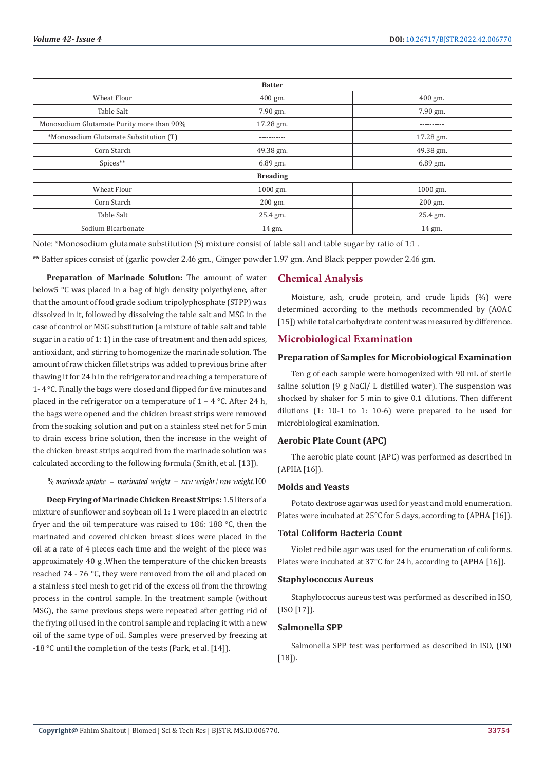| <b>Batter</b>                             |             |            |  |  |
|-------------------------------------------|-------------|------------|--|--|
| Wheat Flour                               | $400$ gm.   | $400$ gm.  |  |  |
| Table Salt                                | 7.90 gm.    | 7.90 gm.   |  |  |
| Monosodium Glutamate Purity more than 90% | 17.28 gm.   | ---------- |  |  |
| *Monosodium Glutamate Substitution (T)    | ----------- | 17.28 gm.  |  |  |
| Corn Starch                               | 49.38 gm.   | 49.38 gm.  |  |  |
| Spices**                                  | $6.89$ gm.  | $6.89$ gm. |  |  |
| <b>Breading</b>                           |             |            |  |  |
| Wheat Flour                               | 1000 gm.    | 1000 gm.   |  |  |
| Corn Starch                               | 200 gm.     | $200$ gm.  |  |  |
| Table Salt                                | 25.4 gm.    | 25.4 gm.   |  |  |
| Sodium Bicarbonate                        | 14 gm.      | 14 gm.     |  |  |

Note: \*Monosodium glutamate substitution (S) mixture consist of table salt and table sugar by ratio of 1:1 .

\*\* Batter spices consist of (garlic powder 2.46 gm., Ginger powder 1.97 gm. And Black pepper powder 2.46 gm.

**Preparation of Marinade Solution:** The amount of water below5 °C was placed in a bag of high density polyethylene, after that the amount of food grade sodium tripolyphosphate (STPP) was dissolved in it, followed by dissolving the table salt and MSG in the case of control or MSG substitution (a mixture of table salt and table sugar in a ratio of 1: 1) in the case of treatment and then add spices, antioxidant, and stirring to homogenize the marinade solution. The amount of raw chicken fillet strips was added to previous brine after thawing it for 24 h in the refrigerator and reaching a temperature of 1- 4 °C. Finally the bags were closed and flipped for five minutes and placed in the refrigerator on a temperature of  $1 - 4$  °C. After 24 h, the bags were opened and the chicken breast strips were removed from the soaking solution and put on a stainless steel net for 5 min to drain excess brine solution, then the increase in the weight of the chicken breast strips acquired from the marinade solution was calculated according to the following formula (Smith, et al. [13]).

% marinade uptake = marinated weight - raw weight / raw weight.100

**Deep Frying of Marinade Chicken Breast Strips:** 1.5 liters of a mixture of sunflower and soybean oil 1: 1 were placed in an electric fryer and the oil temperature was raised to 186: 188 °C, then the marinated and covered chicken breast slices were placed in the oil at a rate of 4 pieces each time and the weight of the piece was approximately 40 g .When the temperature of the chicken breasts reached 74 - 76 °C, they were removed from the oil and placed on a stainless steel mesh to get rid of the excess oil from the throwing process in the control sample. In the treatment sample (without MSG), the same previous steps were repeated after getting rid of the frying oil used in the control sample and replacing it with a new oil of the same type of oil. Samples were preserved by freezing at -18 °C until the completion of the tests (Park, et al. [14]).

#### **Chemical Analysis**

Moisture, ash, crude protein, and crude lipids (%) were determined according to the methods recommended by (AOAC [15]) while total carbohydrate content was measured by difference.

#### **Microbiological Examination**

#### **Preparation of Samples for Microbiological Examination**

Ten g of each sample were homogenized with 90 mL of sterile saline solution (9 g NaCl/ L distilled water). The suspension was shocked by shaker for 5 min to give 0.1 dilutions. Then different dilutions (1: 10-1 to 1: 10-6) were prepared to be used for microbiological examination.

#### **Aerobic Plate Count (APC)**

The aerobic plate count (APC) was performed as described in (APHA [16]).

## **Molds and Yeasts**

Potato dextrose agar was used for yeast and mold enumeration. Plates were incubated at 25°C for 5 days, according to (APHA [16]).

#### **Total Coliform Bacteria Count**

Violet red bile agar was used for the enumeration of coliforms. Plates were incubated at 37°C for 24 h, according to (APHA [16]).

#### **Staphylococcus Aureus**

Staphylococcus aureus test was performed as described in ISO, (ISO [17]).

#### **Salmonella SPP**

Salmonella SPP test was performed as described in ISO, (ISO  $[18]$ .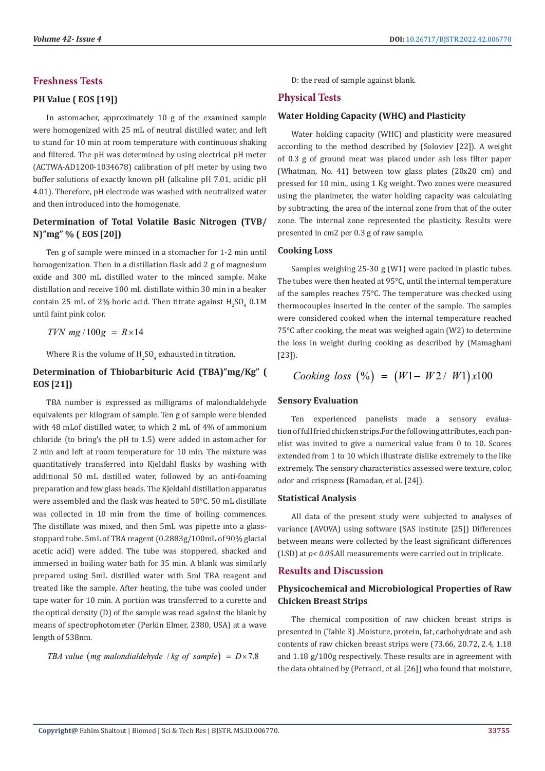# **Freshness Tests**

#### **PH Value ( EOS [19])**

In astomacher, approximately 10 g of the examined sample were homogenized with 25 mL of neutral distilled water, and left to stand for 10 min at room temperature with continuous shaking and filtered. The pH was determined by using electrical pH meter (ACTWA-AD1200-1034678) calibration of pH meter by using two buffer solutions of exactly known pH (alkaline pH 7.01, acidic pH 4.01). Therefore, pH electrode was washed with neutralized water and then introduced into the homogenate.

# **Determination of Total Volatile Basic Nitrogen (TVB/ N)"mg" % ( EOS [20])**

Ten g of sample were minced in a stomacher for 1-2 min until homogenization. Then in a distillation flask add 2 g of magnesium oxide and 300 mL distilled water to the minced sample. Make distillation and receive 100 mL distillate within 30 min in a beaker contain 25 mL of 2% boric acid. Then titrate against  $H_2SO_4$  0.1M until faint pink color.

 $TVN$  mg  $/100g = R \times 14$ 

Where R is the volume of  $\rm H_2SO_4$  exhausted in titration.

# **Determination of Thiobarbituric Acid (TBA)"mg/Kg" ( EOS [21])**

TBA number is expressed as milligrams of malondialdehyde equivalents per kilogram of sample. Ten g of sample were blended with 48 mLof distilled water, to which 2 mL of 4% of ammonium chloride (to bring's the pH to 1.5) were added in astomacher for 2 min and left at room temperature for 10 min. The mixture was quantitatively transferred into Kjeldahl flasks by washing with additional 50 mL distilled water, followed by an anti-foaming preparation and few glass beads. The Kjeldahl distillation apparatus were assembled and the flask was heated to 50°C. 50 mL distillate was collected in 10 min from the time of boiling commences. The distillate was mixed, and then 5mL was pipette into a glassstoppard tube. 5mL of TBA reagent (0.2883g/100mL of 90% glacial acetic acid) were added. The tube was stoppered, shacked and immersed in boiling water bath for 35 min. A blank was similarly prepared using 5mL distilled water with 5ml TBA reagent and treated like the sample. After heating, the tube was cooled under tape water for 10 min. A portion was transferred to a curette and the optical density (D) of the sample was read against the blank by means of spectrophotometer (Perkin Elmer, 2380, USA) at a wave length of 538nm.

*TBA value (mg malondialdehyde | kg of sample) =*  $D \times 7.8$ 

D: the read of sample against blank.

#### **Physical Tests**

#### **Water Holding Capacity (WHC) and Plasticity**

Water holding capacity (WHC) and plasticity were measured according to the method described by (Soloviev [22]). A weight of 0.3 g of ground meat was placed under ash less filter paper (Whatman, No. 41) between tow glass plates (20x20 cm) and pressed for 10 min., using 1 Kg weight. Two zones were measured using the planimeter, the water holding capacity was calculating by subtracting, the area of the internal zone from that of the outer zone. The internal zone represented the plasticity. Results were presented in cm2 per 0.3 g of raw sample.

#### **Cooking Loss**

Samples weighing 25-30 g (W1) were packed in plastic tubes. The tubes were then heated at 95°C, until the internal temperature of the samples reaches 75°C. The temperature was checked using thermocouples inserted in the center of the sample. The samples were considered cooked when the internal temperature reached 75°C after cooking, the meat was weighed again (W2) to determine the loss in weight during cooking as described by (Mamaghani [23]).

$$
Looking loss \ ( \%) \ = \ (W1 - W2 / \ W1 ) x 100
$$

#### **Sensory Evaluation**

Ten experienced panelists made a sensory evaluation of full fried chicken strips. For the following attributes, each panelist was invited to give a numerical value from 0 to 10. Scores extended from 1 to 10 which illustrate dislike extremely to the like extremely. The sensory characteristics assessed were texture, color, odor and crispness (Ramadan, et al. [24]).

#### **Statistical Analysis**

All data of the present study were subjected to analyses of variance (AVOVA) using software (SAS institute [25]) Differences between means were collected by the least significant differences (LSD) at *p< 0.05*.All measurements were carried out in triplicate.

### **Results and Discussion**

# **Physicochemical and Microbiological Properties of Raw Chicken Breast Strips**

The chemical composition of raw chicken breast strips is presented in (Table 3) .Moisture, protein, fat, carbohydrate and ash contents of raw chicken breast strips were (73.66, 20.72, 2.4, 1.18 and 1.18 g/100g respectively. These results are in agreement with the data obtained by (Petracci, et al. [26]) who found that moisture,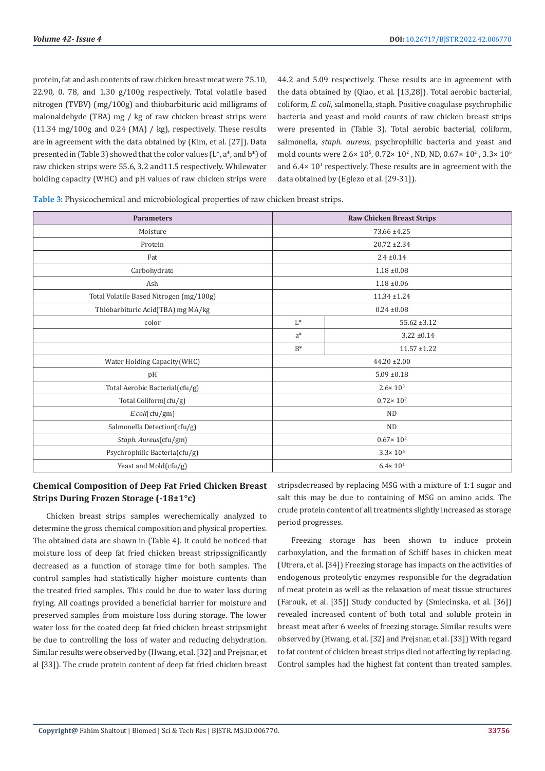protein, fat and ash contents of raw chicken breast meat were 75.10, 22.90, 0. 78, and 1.30 g/100g respectively. Total volatile based nitrogen (TVBV) (mg/100g) and thiobarbituric acid milligrams of malonaldehyde (TBA) mg / kg of raw chicken breast strips were (11.34 mg/100g and 0.24 (MA) / kg), respectively. These results are in agreement with the data obtained by (Kim, et al. [27]). Data presented in (Table 3) showed that the color values (L\*, a\*, and b\*) of raw chicken strips were 55.6, 3.2 and11.5 respectively. Whilewater holding capacity (WHC) and pH values of raw chicken strips were

44.2 and 5.09 respectively. These results are in agreement with the data obtained by (Qiao, et al. [13,28]). Total aerobic bacterial, coliform, *E. coli*, salmonella, staph. Positive coagulase psychrophilic bacteria and yeast and mold counts of raw chicken breast strips were presented in (Table 3). Total aerobic bacterial, coliform, salmonella, *staph. aureus*, psychrophilic bacteria and yeast and mold counts were  $2.6 \times 10^5$ ,  $0.72 \times 10^2$  , ND, ND,  $0.67 \times 10^2$  ,  $3.3 \times 10^6$ and  $6.4 \times 10^{1}$  respectively. These results are in agreement with the data obtained by (Eglezo et al. [29-31]).

**Table 3:** Physicochemical and microbiological properties of raw chicken breast strips.

| <b>Parameters</b>                       | <b>Raw Chicken Breast Strips</b> |                  |  |
|-----------------------------------------|----------------------------------|------------------|--|
| Moisture                                | 73.66 ±4.25                      |                  |  |
| Protein                                 | $20.72 \pm 2.34$                 |                  |  |
| Fat                                     |                                  | $2.4 \pm 0.14$   |  |
| Carbohydrate                            |                                  | $1.18 \pm 0.08$  |  |
| Ash                                     |                                  | $1.18 \pm 0.06$  |  |
| Total Volatile Based Nitrogen (mg/100g) |                                  | $11.34 \pm 1.24$ |  |
| Thiobarbituric Acid(TBA) mg MA/kg       |                                  | $0.24 \pm 0.08$  |  |
| color                                   | $L^*$                            | $55.62 \pm 3.12$ |  |
|                                         | $a^*$                            | $3.22 \pm 0.14$  |  |
|                                         | $B^*$                            | $11.57 \pm 1.22$ |  |
| Water Holding Capacity (WHC)            | $44.20 \pm 2.00$                 |                  |  |
| pH                                      | $5.09 \pm 0.18$                  |                  |  |
| Total Aerobic Bacterial(cfu/g)          | $2.6 \times 10^{5}$              |                  |  |
| Total Coliform(cfu/g)                   | $0.72 \times 10^{2}$             |                  |  |
| E.coli(cfu/gm)                          | <b>ND</b>                        |                  |  |
| Salmonella Detection(cfu/g)             | ND                               |                  |  |
| Staph. Aureus(cfu/gm)                   | $0.67 \times 10^{2}$             |                  |  |
| Psychrophilic Bacteria(cfu/g)           | $3.3 \times 10^{6}$              |                  |  |
| Yeast and Mold(cfu/g)                   | $6.4 \times 10^{1}$              |                  |  |

# **Chemical Composition of Deep Fat Fried Chicken Breast Strips During Frozen Storage (-18±1°c)**

Chicken breast strips samples werechemically analyzed to determine the gross chemical composition and physical properties. The obtained data are shown in (Table 4). It could be noticed that moisture loss of deep fat fried chicken breast stripssignificantly decreased as a function of storage time for both samples. The control samples had statistically higher moisture contents than the treated fried samples. This could be due to water loss during frying. All coatings provided a beneficial barrier for moisture and preserved samples from moisture loss during storage. The lower water loss for the coated deep fat fried chicken breast stripsmight be due to controlling the loss of water and reducing dehydration. Similar results were observed by (Hwang, et al. [32] and Prejsnar, et al [33]). The crude protein content of deep fat fried chicken breast

stripsdecreased by replacing MSG with a mixture of 1:1 sugar and salt this may be due to containing of MSG on amino acids. The crude protein content of all treatments slightly increased as storage period progresses.

Freezing storage has been shown to induce protein carboxylation, and the formation of Schiff bases in chicken meat (Utrera, et al. [34]) Freezing storage has impacts on the activities of endogenous proteolytic enzymes responsible for the degradation of meat protein as well as the relaxation of meat tissue structures (Farouk, et al. [35]) Study conducted by (Smiecinska, et al. [36]) revealed increased content of both total and soluble protein in breast meat after 6 weeks of freezing storage. Similar results were observed by (Hwang, et al. [32] and Prejsnar, et al. [33]) With regard to fat content of chicken breast strips died not affecting by replacing. Control samples had the highest fat content than treated samples.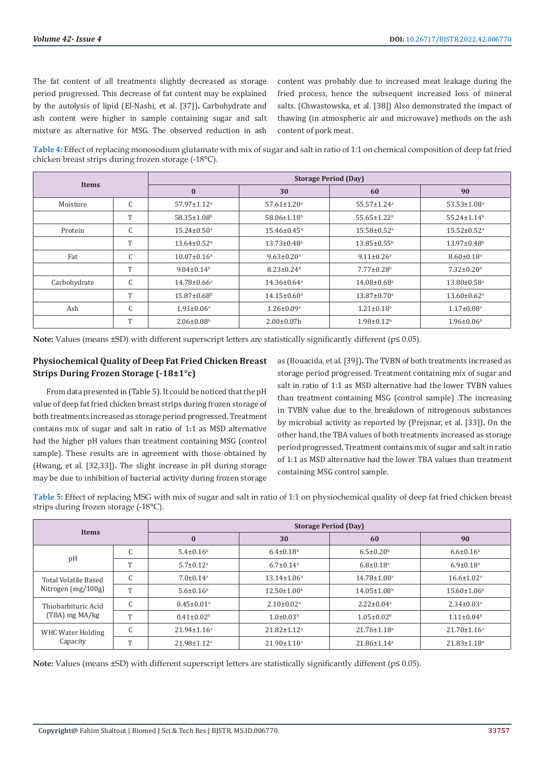The fat content of all treatments slightly decreased as storage period progressed. This decrease of fat content may be explained by the autolysis of lipid (El-Nashi, et al. [37])**.** Carbohydrate and ash content were higher in sample containing sugar and salt mixture as alternative for MSG. The observed reduction in ash

content was probably due to increased meat leakage during the fried process, hence the subsequent increased loss of mineral salts. (Chwastowska, et al. [38]) Also demonstrated the impact of thawing (in atmospheric air and microwave) methods on the ash content of pork meat.

**Table 4:** Effect of replacing monosodium glutamate with mix of sugar and salt in ratio of 1:1 on chemical composition of deep fat fried chicken breast strips during frozen storage (-18°C).

| Items        |              | <b>Storage Period (Day)</b>   |                               |                               |                               |  |  |
|--------------|--------------|-------------------------------|-------------------------------|-------------------------------|-------------------------------|--|--|
|              |              | $\bf{0}$                      | 30                            | 60                            | 90                            |  |  |
| Moisture     | C            | $57.97 \pm 1.12$ <sup>a</sup> | $57.61 \pm 1.20$ <sup>a</sup> | 55.57±1.24 <sup>a</sup>       | $53.53 \pm 1.08$ <sup>a</sup> |  |  |
|              | T            | $58.35 \pm 1.08$ <sup>b</sup> | $58.06 \pm 1.18$ <sup>b</sup> | $55.65 \pm 1.22$ <sup>b</sup> | $55.24 \pm 1.14$ <sup>b</sup> |  |  |
| Protein      | C            | $15.24 \pm 0.50$ <sup>a</sup> | $15.46 \pm 0.45$ <sup>a</sup> | 15.58±0.52 <sup>a</sup>       | $15.52 \pm 0.52$ <sup>a</sup> |  |  |
|              | T            | $13.64 \pm 0.52$ <sup>b</sup> | $13.73 \pm 0.48$ <sup>b</sup> | $13.85 \pm 0.55^{\circ}$      | $13.97 \pm 0.48$ <sup>b</sup> |  |  |
| Fat          | C            | $10.07 \pm 0.16^a$            | $9.63 \pm 0.20$ <sup>a</sup>  | $9.11 \pm 0.26$ <sup>a</sup>  | $8.60 \pm 0.18$ <sup>a</sup>  |  |  |
|              | T            | $9.04 \pm 0.14$ <sup>b</sup>  | $8.23 \pm 0.24^b$             | $7.77 \pm 0.28$ <sup>b</sup>  | $7.32 \pm 0.20^{\rm b}$       |  |  |
| Carbohydrate | C            | $14.78 \pm 0.66$ <sup>a</sup> | $14.36 \pm 0.64$ <sup>a</sup> | 14.08±0.68 <sup>a</sup>       | $13.80 \pm 0.58$ <sup>a</sup> |  |  |
|              | T            | $15.87 \pm 0.68$ <sup>b</sup> | $14.15 \pm 0.60$ <sup>a</sup> | $13.87 \pm 0.70$ <sup>a</sup> | $13.60 \pm 0.62$ <sup>a</sup> |  |  |
| Ash          | C            | $1.93 \pm 0.06^a$             | $1.26 \pm 0.09$ <sup>a</sup>  | $1.21 \pm 0.18$ <sup>a</sup>  | $1.17 \pm 0.08$ <sup>a</sup>  |  |  |
|              | $\mathbf{T}$ | $2.06 \pm 0.08$ <sup>b</sup>  | $2.00 \pm 0.07$ b             | $1.98 \pm 0.12$ <sup>b</sup>  | $1.96 \pm 0.06^{\circ}$       |  |  |

**Note:** Values (means ±SD) with different superscript letters are statistically significantly different (p≤ 0.05).

# **Physiochemical Quality of Deep Fat Fried Chicken Breast Strips During Frozen Storage (-18±1°c)**

From data presented in (Table 5). It could be noticed that the pH value of deep fat fried chicken breast strips during frozen storage of both treatments increased as storage period progressed. Treatment contains mix of sugar and salt in ratio of 1:1 as MSD alternative had the higher pH values than treatment containing MSG (control sample). These results are in agreement with those obtained by (Hwang, et al. [32,33])**.** The slight increase in pH during storage may be due to inhibition of bacterial activity during frozen storage

as (Bouacida, et al. [39])**.** The TVBN of both treatments increased as storage period progressed. Treatment containing mix of sugar and salt in ratio of 1:1 as MSD alternative had the lower TVBN values than treatment containing MSG (control sample) .The increasing in TVBN value due to the breakdown of nitrogenous substances by microbial activity as reported by (Prejsnar, et al. [33])**.** On the other hand, the TBA values of both treatments increased as storage period progressed. Treatment contains mix of sugar and salt in ratio of 1:1 as MSD alternative had the lower TBA values than treatment containing MSG control sample.

**Table 5:** Effect of replacing MSG with mix of sugar and salt in ratio of 1:1 on physiochemical quality of deep fat fried chicken breast strips during frozen storage (-18°C).

| <b>Items</b>                |                               | <b>Storage Period (Day)</b>  |                               |                               |                              |  |
|-----------------------------|-------------------------------|------------------------------|-------------------------------|-------------------------------|------------------------------|--|
|                             |                               | $\bf{0}$                     | 30                            | 60                            | 90                           |  |
|                             | U                             | $5.4\pm0.16^{\rm b}$         | $6.4\pm0.18$ <sup>b</sup>     | $6.5 \pm 0.20$ <sup>b</sup>   | $6.6 \pm 0.16^b$             |  |
| pH                          | T                             | $5.7 \pm 0.12$ <sup>a</sup>  | $6.7 \pm 0.14$ <sup>a</sup>   | $6.8 \pm 0.18$ <sup>a</sup>   | $6.9 \pm 0.18$ <sup>a</sup>  |  |
| <b>Total Volatile Based</b> | C                             | $7.0 \pm 0.14$ <sup>a</sup>  | $13.14 \pm 1.06^a$            | $14.78 \pm 1.00^a$            | $16.6 \pm 1.02$ <sup>a</sup> |  |
| Nitrogen $(mg/100g)$        | <b>T</b>                      | $5.6 \pm 0.16^b$             | $12.50 \pm 1.00^b$            | $14.05 \pm 1.08$ <sup>b</sup> | $15.60 \pm 1.06^{\circ}$     |  |
| Thiobarbituric Acid         | C                             | $0.45 \pm 0.01$ <sup>a</sup> | $2.10 \pm 0.02$ <sup>a</sup>  | $2.22 \pm 0.04$ <sup>a</sup>  | $2.34 \pm 0.03$ <sup>a</sup> |  |
| (TBA) mg MA/kg              | <b>T</b>                      | $0.41 \pm 0.02^b$            | $1.0\pm0.03b$                 | $1.05 \pm 0.02$ <sup>b</sup>  | $1.11 \pm 0.04^b$            |  |
| WHC Water Holding           | $\sqrt{2}$<br>ι.              | $21.94 \pm 1.16^a$           | $21.82 \pm 1.12$ <sup>a</sup> | $21.76 \pm 1.18$ <sup>a</sup> | $21.70 \pm 1.16^a$           |  |
| Capacity<br>᠇᠇              | $21.98 \pm 1.12$ <sup>a</sup> | $21.90 \pm 1.10^a$           | $21.86 \pm 1.14$ <sup>a</sup> | $21.83 \pm 1.18$ <sup>a</sup> |                              |  |

**Note:** Values (means ±SD) with different superscript letters are statistically significantly different (p≤ 0.05).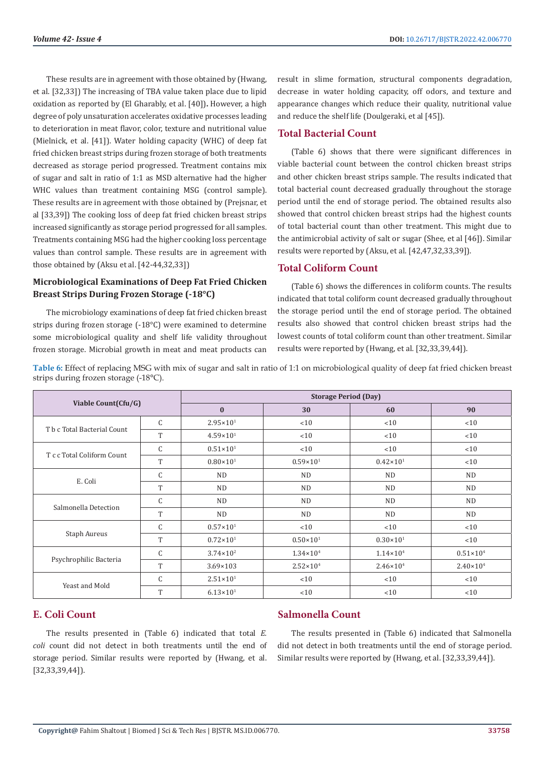These results are in agreement with those obtained by (Hwang, et al. [32,33]) The increasing of TBA value taken place due to lipid oxidation as reported by (El Gharably, et al. [40])**.** However, a high degree of poly unsaturation accelerates oxidative processes leading to deterioration in meat flavor, color, texture and nutritional value (Mielnick, et al. [41]). Water holding capacity (WHC) of deep fat fried chicken breast strips during frozen storage of both treatments decreased as storage period progressed. Treatment contains mix of sugar and salt in ratio of 1:1 as MSD alternative had the higher WHC values than treatment containing MSG (control sample). These results are in agreement with those obtained by (Prejsnar, et al [33,39]) The cooking loss of deep fat fried chicken breast strips increased significantly as storage period progressed for all samples. Treatments containing MSG had the higher cooking loss percentage values than control sample. These results are in agreement with those obtained by (Aksu et al. [42-44,32,33])

# **Microbiological Examinations of Deep Fat Fried Chicken Breast Strips During Frozen Storage (-18°C)**

The microbiology examinations of deep fat fried chicken breast strips during frozen storage (-18°C) were examined to determine some microbiological quality and shelf life validity throughout frozen storage. Microbial growth in meat and meat products can

result in slime formation, structural components degradation, decrease in water holding capacity, off odors, and texture and appearance changes which reduce their quality, nutritional value and reduce the shelf life (Doulgeraki, et al [45]).

# **Total Bacterial Count**

(Table 6) shows that there were significant differences in viable bacterial count between the control chicken breast strips and other chicken breast strips sample. The results indicated that total bacterial count decreased gradually throughout the storage period until the end of storage period. The obtained results also showed that control chicken breast strips had the highest counts of total bacterial count than other treatment. This might due to the antimicrobial activity of salt or sugar (Shee, et al [46]). Similar results were reported by (Aksu, et al. [42,47,32,33,39]).

# **Total Coliform Count**

(Table 6) shows the differences in coliform counts. The results indicated that total coliform count decreased gradually throughout the storage period until the end of storage period. The obtained results also showed that control chicken breast strips had the lowest counts of total coliform count than other treatment. Similar results were reported by (Hwang, et al. [32,33,39,44]).

**Table 6:** Effect of replacing MSG with mix of sugar and salt in ratio of 1:1 on microbiological quality of deep fat fried chicken breast strips during frozen storage (-18°C).

| Viable Count(Cfu/G)         |               | <b>Storage Period (Day)</b> |                      |                      |                      |  |
|-----------------------------|---------------|-----------------------------|----------------------|----------------------|----------------------|--|
|                             |               | $\bf{0}$                    | 30                   | 60                   | 90                   |  |
| T b c Total Bacterial Count | $\mathcal{C}$ | $2.95 \times 10^{1}$        | <10                  | < 10                 | < 10                 |  |
|                             | T             | $4.59 \times 10^{1}$        | <10                  | < 10                 | <10                  |  |
| T c c Total Coliform Count  | C             | $0.51 \times 10^{1}$        | <10                  | <10                  | <10                  |  |
|                             | T             | $0.80\times10^{1}$          | $0.59 \times 10^{1}$ | $0.42 \times 10^{1}$ | < 10                 |  |
| E. Coli                     | C             | <b>ND</b>                   | <b>ND</b>            | ND.                  | <b>ND</b>            |  |
|                             | T             | ND                          | ND                   | ND.                  | <b>ND</b>            |  |
|                             | C             | <b>ND</b>                   | <b>ND</b>            | <b>ND</b>            | <b>ND</b>            |  |
| Salmonella Detection        | T             | <b>ND</b>                   | <b>ND</b>            | ND.                  | <b>ND</b>            |  |
| <b>Staph Aureus</b>         | C             | $0.57 \times 10^{1}$        | <10                  | < 10                 | <10                  |  |
|                             | T             | $0.72 \times 10^{1}$        | $0.50 \times 10^{1}$ | $0.30 \times 10^{1}$ | <10                  |  |
| Psychrophilic Bacteria      | C             | $3.74 \times 10^{2}$        | $1.34 \times 10^{4}$ | $1.14 \times 10^{4}$ | $0.51 \times 10^{4}$ |  |
|                             | T             | $3.69 \times 103$           | $2.52 \times 10^{4}$ | $2.46 \times 10^{4}$ | $2.40 \times 10^{4}$ |  |
| Yeast and Mold              | C             | $2.51 \times 10^{1}$        | <10                  | < 10                 | < 10                 |  |
|                             | T             | $6.13 \times 10^{1}$        | <10                  | <10                  | <10                  |  |

# **E. Coli Count**

The results presented in (Table 6) indicated that total *E. coli* count did not detect in both treatments until the end of storage period. Similar results were reported by (Hwang, et al. [32,33,39,44]).

# **Salmonella Count**

The results presented in (Table 6) indicated that Salmonella did not detect in both treatments until the end of storage period. Similar results were reported by (Hwang, et al. [32,33,39,44]).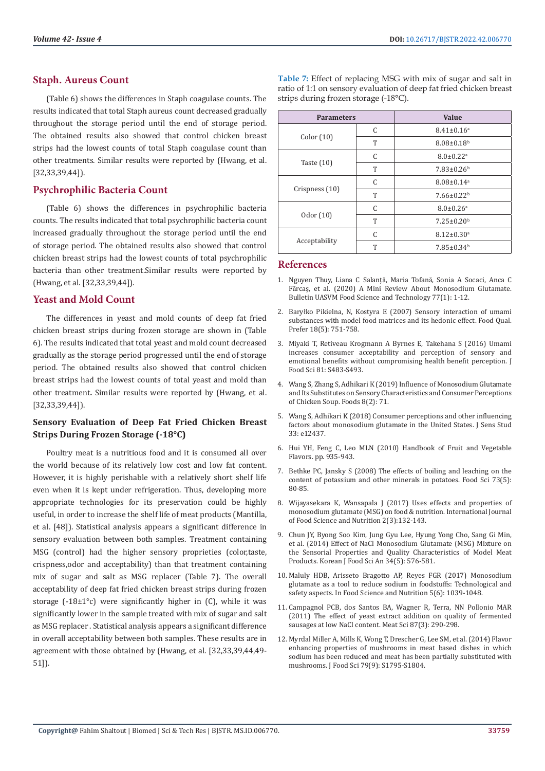### **Staph. Aureus Count**

(Table 6) shows the differences in Staph coagulase counts. The results indicated that total Staph aureus count decreased gradually throughout the storage period until the end of storage period. The obtained results also showed that control chicken breast strips had the lowest counts of total Staph coagulase count than other treatments. Similar results were reported by (Hwang, et al. [32,33,39,44]).

# **Psychrophilic Bacteria Count**

(Table 6) shows the differences in psychrophilic bacteria counts. The results indicated that total psychrophilic bacteria count increased gradually throughout the storage period until the end of storage period. The obtained results also showed that control chicken breast strips had the lowest counts of total psychrophilic bacteria than other treatment.Similar results were reported by (Hwang, et al. [32,33,39,44]).

#### **Yeast and Mold Count**

The differences in yeast and mold counts of deep fat fried chicken breast strips during frozen storage are shown in (Table 6). The results indicated that total yeast and mold count decreased gradually as the storage period progressed until the end of storage period. The obtained results also showed that control chicken breast strips had the lowest counts of total yeast and mold than other treatment**.** Similar results were reported by (Hwang, et al. [32,33,39,44]).

# **Sensory Evaluation of Deep Fat Fried Chicken Breast Strips During Frozen Storage (-18°C)**

Poultry meat is a nutritious food and it is consumed all over the world because of its relatively low cost and low fat content. However, it is highly perishable with a relatively short shelf life even when it is kept under refrigeration. Thus, developing more appropriate technologies for its preservation could be highly useful, in order to increase the shelf life of meat products (Mantilla, et al. [48]). Statistical analysis appears a significant difference in sensory evaluation between both samples. Treatment containing MSG (control) had the higher sensory proprieties (color,taste, crispness,odor and acceptability) than that treatment containing mix of sugar and salt as MSG replacer (Table 7). The overall acceptability of deep fat fried chicken breast strips during frozen storage (-18±1°c) were significantly higher in (C), while it was significantly lower in the sample treated with mix of sugar and salt as MSG replacer . Statistical analysis appears a significant difference in overall acceptability between both samples. These results are in agreement with those obtained by (Hwang, et al. [32,33,39,44,49- 51]).

**Table 7:** Effect of replacing MSG with mix of sugar and salt in ratio of 1:1 on sensory evaluation of deep fat fried chicken breast strips during frozen storage (-18°C).

| <b>Parameters</b> |   | <b>Value</b>                 |
|-------------------|---|------------------------------|
|                   | C | $8.41 \pm 0.16$ <sup>a</sup> |
| Color(10)         | T | $8.08 \pm 0.18$ <sup>b</sup> |
|                   | C | $8.0 \pm 0.22$ <sup>a</sup>  |
| Taste $(10)$      | T | $7.83 \pm 0.26$ <sup>b</sup> |
| Crispness (10)    | C | $8.08 \pm 0.14$ <sup>a</sup> |
|                   | T | $7.66 \pm 0.22^b$            |
|                   | C | $8.0 \pm 0.26$ <sup>a</sup>  |
| 0dor (10)         | T | $7.25 \pm 0.20$ <sup>b</sup> |
| Acceptability     | C | $8.12 \pm 0.30$ <sup>a</sup> |
|                   | T | $7.85 \pm 0.34^b$            |

#### **References**

- 1. Nguyen Thuy, Liana C Salanță, Maria Tofană, Sonia A Socaci, Anca C Fărcaș, et al. (2020) A Mini Review About Monosodium Glutamate. Bulletin UASVM Food Science and Technology 77(1): 1-12.
- 2. Barył[ko Pikielna, N, Kostyra E \(2007\) Sensory interaction of umami](https://www.researchgate.net/publication/222673111_Sensory_interaction_of_umami_substances_with_model_food_matrices_and_its_hedonic_effect) [substances with model food matrices and its hedonic effect. Food Qual.](https://www.researchgate.net/publication/222673111_Sensory_interaction_of_umami_substances_with_model_food_matrices_and_its_hedonic_effect) [Prefer 18\(5\): 751-758.](https://www.researchgate.net/publication/222673111_Sensory_interaction_of_umami_substances_with_model_food_matrices_and_its_hedonic_effect)
- 3. [Miyaki T, Retiveau Krogmann A Byrnes E, Takehana S \(2016\) Umami](https://academic.naver.com/article.naver?doc_id=346076617) [increases consumer acceptability and perception of sensory and](https://academic.naver.com/article.naver?doc_id=346076617) [emotional benefits without compromising health benefit perception. J](https://academic.naver.com/article.naver?doc_id=346076617) [Food Sci 81: S483-S493.](https://academic.naver.com/article.naver?doc_id=346076617)
- 4. Wang S, Zhang S, Adhikari K (2019) [Influence of Monosodium Glutamate](https://www.ncbi.nlm.nih.gov/labs/pmc/articles/PMC6406985/) [and Its Substitutes on Sensory Characteristics and Consumer Perceptions](https://www.ncbi.nlm.nih.gov/labs/pmc/articles/PMC6406985/) [of Chicken Soup. Foods 8\(2\): 71.](https://www.ncbi.nlm.nih.gov/labs/pmc/articles/PMC6406985/)
- 5. Wang S, Adhikari K (2018) Consumer perceptions and other influencing factors about monosodium glutamate in the United States. J Sens Stud 33: e12437.
- 6. Hui YH, Feng C, Leo MLN (2010) Handbook of Fruit and Vegetable Flavors. pp. 935-943.
- 7. Bethke PC, Jansky S (2008) The effects of boiling and leaching on the content of potassium and other minerals in potatoes. Food Sci 73(5): 80-85.
- 8. [Wijayasekara K, Wansapala J \(2017\) Uses effects and properties of](http://www.foodsciencejournal.com/archives/2017/vol2/issue3/2-3-24) [monosodium glutamate \(MSG\) on food & nutrition. International Journal](http://www.foodsciencejournal.com/archives/2017/vol2/issue3/2-3-24) [of Food Science and Nutrition 2\(3\):132-143.](http://www.foodsciencejournal.com/archives/2017/vol2/issue3/2-3-24)
- 9. [Chun JY, Byong Soo Kim, Jung Gyu Lee, Hyung Yong Cho, Sang Gi Min,](https://pubmed.ncbi.nlm.nih.gov/26761490/) [et al. \(2014\) Effect of NaCl Monosodium Glutamate \(MSG\) Mixture on](https://pubmed.ncbi.nlm.nih.gov/26761490/) [the Sensorial Properties and Quality Characteristics of Model Meat](https://pubmed.ncbi.nlm.nih.gov/26761490/) [Products. Korean J Food Sci An 34\(5\): 576-581.](https://pubmed.ncbi.nlm.nih.gov/26761490/)
- 10. [Maluly HDB, Arisseto Bragotto AP, Reyes FGR \(2017\) Monosodium](https://pubmed.ncbi.nlm.nih.gov/29188030/) [glutamate as a tool to reduce sodium in foodstuffs: Technological and](https://pubmed.ncbi.nlm.nih.gov/29188030/) [safety aspects. In Food Science and Nutrition 5\(6\): 1039-1048](https://pubmed.ncbi.nlm.nih.gov/29188030/).
- 11. Campagnol PCB, dos Santos BA, Wagner R, Terra, NN Pollonio MAR (2011) The effect of yeast extract addition on quality of fermented sausages at low NaCl content. Meat Sci 87(3): 290-298.
- 12. [Myrdal Miller A, Mills K, Wong T, Drescher G, Lee SM, et al. \(2014\) Flavor](https://pubmed.ncbi.nlm.nih.gov/25124478/) [enhancing properties of mushrooms in meat based dishes in which](https://pubmed.ncbi.nlm.nih.gov/25124478/) [sodium has been reduced and meat has been partially substituted with](https://pubmed.ncbi.nlm.nih.gov/25124478/) [mushrooms. J Food Sci 79\(9\): S1795-S1804.](https://pubmed.ncbi.nlm.nih.gov/25124478/)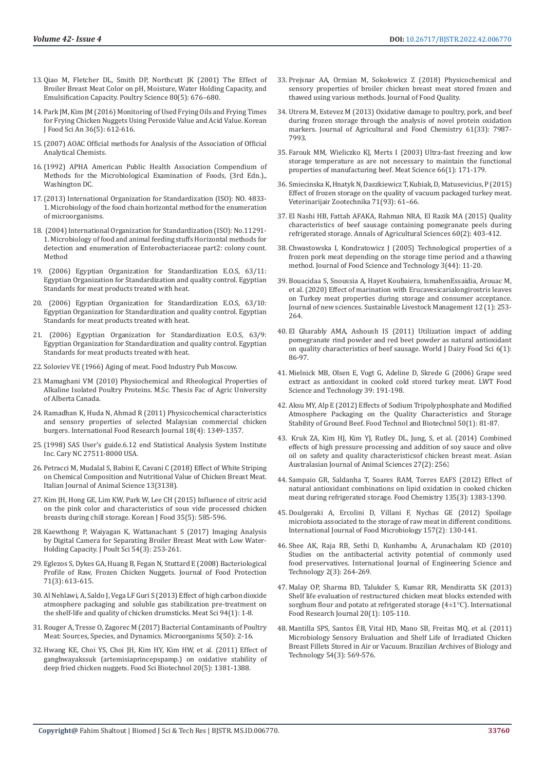- 13. Qiao M, Fletcher DL, Smith DP, Northcutt JK (2001) The Effect of Broiler Breast Meat Color on pH, Moisture, Water Holding Capacity, and Emulsification Capacity. Poultry Science 80(5): 676–680.
- 14. Park JM, Kim JM (2016) [Monitoring of Used Frying Oils and Frying Times](https://pubmed.ncbi.nlm.nih.gov/27857536/)  [for Frying Chicken Nuggets Using Peroxide Value and Acid Value. Korean](https://pubmed.ncbi.nlm.nih.gov/27857536/)  [J Food Sci An 36\(5\): 612-616.](https://pubmed.ncbi.nlm.nih.gov/27857536/)
- 15.(2007) AOAC Official methods for Analysis of the Association of Official Analytical Chemists.
- 16.(1992) APHA American Public Health Association Compendium of Methods for the Microbiological Examination of Foods, (3rd Edn.)., Washington DC.
- 17.[\(2013\) International Organization for Standardization \(ISO\):](https://www.iso.org/standard/53728.html) NO. 4833- [1. Microbiology of the food chain horizontal method for the enumeration](https://www.iso.org/standard/53728.html)  [of microorganisms.](https://www.iso.org/standard/53728.html)
- 18. (2004) International Organization for Standardization (ISO): No.11291- 1. Microbiology of food and animal feeding stuffs Horizontal methods for detection and enumeration of Enterobacteriaceae part2: colony count. Method
- 19. (2006) Egyptian Organization for Standardization E.O.S, 63/11: Egyptian Organization for Standardization and quality control. Egyptian Standards for meat products treated with heat.
- 20. (2006) Egyptian Organization for Standardization E.O.S, 63/10: Egyptian Organization for Standardization and quality control. Egyptian Standards for meat products treated with heat.
- 21. (2006) Egyptian Organization for Standardization E.O.S, 63/9: Egyptian Organization for Standardization and quality control. Egyptian Standards for meat products treated with heat.
- 22. [Soloviev VE \(1966\) Aging of meat. Food Industry Pub Moscow](https://www.scirp.org/%28S%28vtj3fa45qm1ean45vvffcz55%29%29/reference/referencespapers.aspx?referenceid=3071607).
- 23. [Mamaghani VM \(2010\) Physiochemical and Rheological Properties of](https://www.bac-lac.gc.ca/eng/services/theses/Pages/item.aspx?idNumber=646424413)  [Alkaline Isolated Poultry Proteins. M.Sc. Thesis Fac of Agric University](https://www.bac-lac.gc.ca/eng/services/theses/Pages/item.aspx?idNumber=646424413)  [of Alberta Canada.](https://www.bac-lac.gc.ca/eng/services/theses/Pages/item.aspx?idNumber=646424413)
- 24. [Ramadhan K, Huda N, Ahmad R \(2011\)](http://www.ifrj.upm.edu.my/18%20(04)%202011/(21)IFRJ-2011-264.pdf) Physicochemical characteristics [and sensory properties of selected Malaysian commercial chicken](http://www.ifrj.upm.edu.my/18%20(04)%202011/(21)IFRJ-2011-264.pdf)  [burgers. International Food Research Journal 18\(4\): 1349-1357.](http://www.ifrj.upm.edu.my/18%20(04)%202011/(21)IFRJ-2011-264.pdf)
- 25.(1998) SAS User's guide.6.12 end Statistical Analysis System Institute Inc. Cary NC 27511-8000 USA.
- 26. [Petracci M, Mudalal S, Babini E, Cavani C \(2018\) Effect of White Striping](https://www.tandfonline.com/doi/full/10.4081/ijas.2014.3138)  [on Chemical Composition and Nutritional Value of Chicken Breast Meat.](https://www.tandfonline.com/doi/full/10.4081/ijas.2014.3138)  [Italian Journal of Animal Science 13\(3138\)](https://www.tandfonline.com/doi/full/10.4081/ijas.2014.3138).
- 27. Kim JH, Hong GE, Lim KW, Park W, Lee CH (2015) Influence of citric acid on the pink color and characteristics of sous vide processed chicken breasts during chill storage. Korean J Food 35(5): 585-596.
- 28. [Kaewthong P, Waiyagan K, Wattanachant S \(2017\) Imaging Analysis](https://pubmed.ncbi.nlm.nih.gov/32908434/)  [by Digital Camera for Separating Broiler Breast Meat with Low Water-](https://pubmed.ncbi.nlm.nih.gov/32908434/)[Holding Capacity. J Poult Sci 54\(3\): 253-261.](https://pubmed.ncbi.nlm.nih.gov/32908434/)
- 29. [Eglezos S, Dykes GA, Huang B, Fegan N, Stuttard E \(2008\)](https://pubmed.ncbi.nlm.nih.gov/18389709/) Bacteriological [Profile of Raw, Frozen Chicken Nuggets. Journal of Food Protection](https://pubmed.ncbi.nlm.nih.gov/18389709/)  [71\(3\): 613-615.](https://pubmed.ncbi.nlm.nih.gov/18389709/)
- 30. [Al Nehlawi, A, Saldo J, Vega LF Guri S \(2013\) Effect of high carbon dioxide](https://pubmed.ncbi.nlm.nih.gov/23357574/)  [atmosphere packaging and soluble gas stabilization pre-treatment on](https://pubmed.ncbi.nlm.nih.gov/23357574/)  [the shelf-life and quality of chicken drumsticks. Meat Sci 94\(1\): 1-8.](https://pubmed.ncbi.nlm.nih.gov/23357574/)
- 31. [Rouger A, Tresse O, Zagorec M \(2017\)](https://pubmed.ncbi.nlm.nih.gov/28841156/) Bacterial Contaminants of Poultry [Meat: Sources, Species, and Dynamics. Microorganisms 5\(50\): 2-16.](https://pubmed.ncbi.nlm.nih.gov/28841156/)
- 32. Hwang KE, Choi YS, Choi JH, Kim HY, Kim HW, et al. (2011) Effect of ganghwayakssuk (artemisiaprincepspamp.) on oxidative stability of deep fried chicken nuggets. Food Sci Biotechnol 20(5): 1381-1388.
- 33. [Prejsnar AA, Ormian M, Soko](https://www.hindawi.com/journals/jfq/2018/6754070/)łowicz Z (2018) Physicochemical and [sensory properties of broiler chicken breast meat stored frozen and](https://www.hindawi.com/journals/jfq/2018/6754070/) [thawed using various methods. Journal of Food Quality.](https://www.hindawi.com/journals/jfq/2018/6754070/)
- 34. Utrera M, Estevez M (2013) [Oxidative damage to poultry, pork, and beef](https://pubmed.ncbi.nlm.nih.gov/23885900/) [during frozen storage through the analysis of novel protein oxidation](https://pubmed.ncbi.nlm.nih.gov/23885900/) [markers. Journal of Agricultural and Food Chemistry 61\(33\): 7987-](https://pubmed.ncbi.nlm.nih.gov/23885900/) [7993.](https://pubmed.ncbi.nlm.nih.gov/23885900/)
- 35. [Farouk MM, Wieliczko KJ, Merts I \(2003\) Ultra-fast freezing and low](https://www.sciencedirect.com/science/article/abs/pii/S0309174003000810) [storage temperature as are not necessary to maintain the functional](https://www.sciencedirect.com/science/article/abs/pii/S0309174003000810) [properties of manufacturing beef. Meat Science 66\(1\): 171-179.](https://www.sciencedirect.com/science/article/abs/pii/S0309174003000810)
- 36. [Smiecinska K, Hnatyk N, Daszkiewicz T, Kubiak, D, Matusevicius, P \(2015\)](https://vetzoo.lsmuni.lt/data/vols/2015/71/pdf/smiecinska.pdf) [Effect of frozen storage on the quality of vacuum packaged turkey meat.](https://vetzoo.lsmuni.lt/data/vols/2015/71/pdf/smiecinska.pdf) [Veterinarijair Zootechnika 71\(93\): 61–66.](https://vetzoo.lsmuni.lt/data/vols/2015/71/pdf/smiecinska.pdf)
- 37. [El Nashi HB, Fattah AFAKA, Rahman NRA, El Razik MA \(2015\) Quality](https://www.sciencedirect.com/science/article/pii/S0570178315000378) [characteristics of beef sausage containing pomegranate peels during](https://www.sciencedirect.com/science/article/pii/S0570178315000378) [refrigerated storage. Annals of Agricultural Sciences 60\(2\): 403-412.](https://www.sciencedirect.com/science/article/pii/S0570178315000378)
- 38. Chwastowska I, Kondratowicz J (2005) Technological properties of a frozen pork meat depending on the storage time period and a thawing method. Journal of Food Science and Technology 3(44): 11-20.
- 39. [Bouacidaa S, Snoussia A, Hayet Koubaiera, IsmahenEssaidia, Arouac M,](https://www.jnsciences.org/sustainable-livestock-management/103-slm-12/611-effect-of-marination-with-eruca-vesicaria-longirostris-leaves-on-turkey-meat-properties-during-storage-and-consumer-acceptance.html) [et al. \(2020\) Effect of marination with Erucavesicarialongirostris leaves](https://www.jnsciences.org/sustainable-livestock-management/103-slm-12/611-effect-of-marination-with-eruca-vesicaria-longirostris-leaves-on-turkey-meat-properties-during-storage-and-consumer-acceptance.html) [on Turkey meat properties during storage and consumer acceptance.](https://www.jnsciences.org/sustainable-livestock-management/103-slm-12/611-effect-of-marination-with-eruca-vesicaria-longirostris-leaves-on-turkey-meat-properties-during-storage-and-consumer-acceptance.html) [Journal of new sciences. Sustainable Livestock Management 12 \(1\): 253-](https://www.jnsciences.org/sustainable-livestock-management/103-slm-12/611-effect-of-marination-with-eruca-vesicaria-longirostris-leaves-on-turkey-meat-properties-during-storage-and-consumer-acceptance.html) [264.](https://www.jnsciences.org/sustainable-livestock-management/103-slm-12/611-effect-of-marination-with-eruca-vesicaria-longirostris-leaves-on-turkey-meat-properties-during-storage-and-consumer-acceptance.html)
- 40. [El Gharably AMA, Ashoush IS \(2011\) Utilization impact of adding](https://www.cabdirect.org/globalhealth/abstract/20113260385) [pomegranate rind powder and red beet powder as natural antioxidant](https://www.cabdirect.org/globalhealth/abstract/20113260385) [on quality characteristics of beef sausage. World J Dairy Food Sci 6\(1\):](https://www.cabdirect.org/globalhealth/abstract/20113260385) [86-97.](https://www.cabdirect.org/globalhealth/abstract/20113260385)
- 41. [Mielnick MB, Olsen E, Vogt G, Adeline D, Skrede G \(2006\) Grape seed](https://nofima.com/publication/1138642/) [extract as antioxidant in cooked cold stored turkey meat. LWT Food](https://nofima.com/publication/1138642/) [Science and Technology 39: 191-198.](https://nofima.com/publication/1138642/)
- 42. [Aksu MY, Alp E \(2012\) Effects of Sodium Tripolyphosphate and Modified](https://hrcak.srce.hr/clanak/117374) [Atmosphere Packaging on the Quality Characteristics and Storage](https://hrcak.srce.hr/clanak/117374) [Stability of Ground Beef. Food Technol and Biotechnol 50\(1\): 81-87.](https://hrcak.srce.hr/clanak/117374)
- 43. [Kruk ZA, Kim HJ, Kim YJ, Rutley DL, Jung, S, et al. \(2014\) Combined](https://pubmed.ncbi.nlm.nih.gov/25049950/) [effects of high pressure processing and addition of soy sauce and olive](https://pubmed.ncbi.nlm.nih.gov/25049950/) [oil on safety and quality characteristicsof chicken breast meat. Asian](https://pubmed.ncbi.nlm.nih.gov/25049950/) [Australasian Journal of Animal Sciences 27\(2\): 256.](https://pubmed.ncbi.nlm.nih.gov/25049950/)
- 44. Sampaio GR, Saldanha T, Soares RAM, Torres EAFS (2012) Effect of natural antioxidant combinations on lipid oxidation in cooked chicken meat during refrigerated storage. Food Chemistry 135(3): 1383-1390.
- 45. [Doulgeraki A, Ercolini D, Villani F, Nychas GE \(2012\) Spoilage](https://pubmed.ncbi.nlm.nih.gov/22682877/) [microbiota associated to the storage of raw meat in different conditions.](https://pubmed.ncbi.nlm.nih.gov/22682877/) [International Journal of Food Microbiology 157\(2\)](https://pubmed.ncbi.nlm.nih.gov/22682877/): 130-141.
- 46. Shee AK, Raja RB, Sethi D, Kunhambu A, Arunachalam KD (2010) Studies on the antibacterial activity potential of commonly used food preservatives. International Journal of Engineering Science and Technology 2(3): 264-269.
- 47. [Malay OP, Sharma BD, Talukder S, Kumar RR, Mendiratta SK \(2013\)](https://myjurnal.mohe.gov.my/public/article-view.php?id=67875) [Shelf life evaluation of restructured chicken meat blocks extended with](https://myjurnal.mohe.gov.my/public/article-view.php?id=67875) [sorghum flour and potato at refrigerated storage \(4](https://myjurnal.mohe.gov.my/public/article-view.php?id=67875)±1°C). International [Food Research Journal 20\(1\): 105-110.](https://myjurnal.mohe.gov.my/public/article-view.php?id=67875)
- 48. Mantilla SPS, Santos É[B, Vital HD, Mano SB, Freitas MQ, et al. \(2011\)](https://www.readcube.com/articles/10.1590/S1516-89132011000300019) [Microbiology Sensory Evaluation and Shelf Life of Irradiated Chicken](https://www.readcube.com/articles/10.1590/S1516-89132011000300019) [Breast Fillets Stored in Air or Vacuum. Brazilian Archives of Biology and](https://www.readcube.com/articles/10.1590/S1516-89132011000300019) [Technology 54\(3\): 569-576.](https://www.readcube.com/articles/10.1590/S1516-89132011000300019)